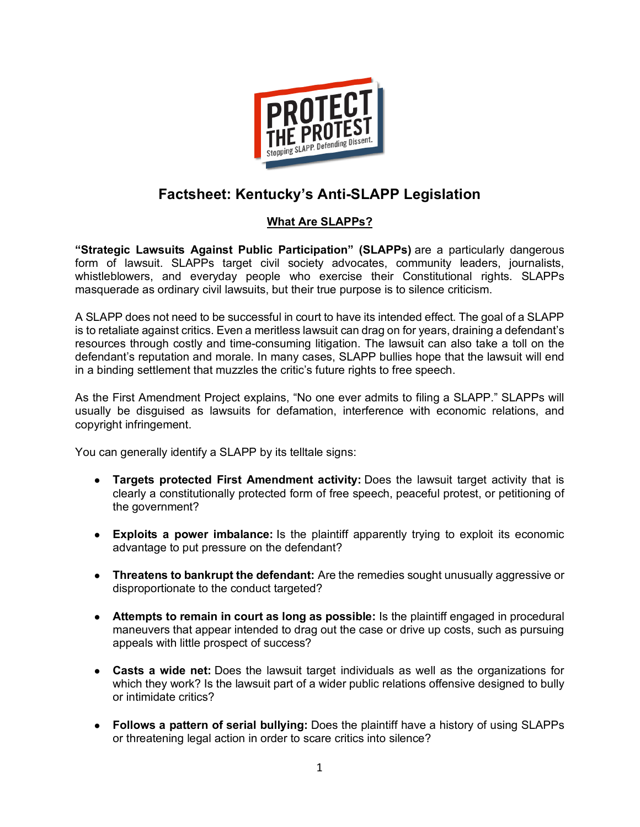

# **Factsheet: Kentucky's Anti-SLAPP Legislation**

### **What Are SLAPPs?**

**"Strategic Lawsuits Against Public Participation" (SLAPPs)** are a particularly dangerous form of lawsuit. SLAPPs target civil society advocates, community leaders, journalists, whistleblowers, and everyday people who exercise their Constitutional rights. SLAPPs masquerade as ordinary civil lawsuits, but their true purpose is to silence criticism.

A SLAPP does not need to be successful in court to have its intended effect. The goal of a SLAPP is to retaliate against critics. Even a meritless lawsuit can drag on for years, draining a defendant's resources through costly and time-consuming litigation. The lawsuit can also take a toll on the defendant's reputation and morale. In many cases, SLAPP bullies hope that the lawsuit will end in a binding settlement that muzzles the critic's future rights to free speech.

As the First Amendment Project explains, "No one ever admits to filing a SLAPP." SLAPPs will usually be disguised as lawsuits for defamation, interference with economic relations, and copyright infringement.

You can generally identify a SLAPP by its telltale signs:

- **Targets protected First Amendment activity:** Does the lawsuit target activity that is clearly a constitutionally protected form of free speech, peaceful protest, or petitioning of the government?
- **Exploits a power imbalance:** Is the plaintiff apparently trying to exploit its economic advantage to put pressure on the defendant?
- **Threatens to bankrupt the defendant:** Are the remedies sought unusually aggressive or disproportionate to the conduct targeted?
- **Attempts to remain in court as long as possible:** Is the plaintiff engaged in procedural maneuvers that appear intended to drag out the case or drive up costs, such as pursuing appeals with little prospect of success?
- **Casts a wide net:** Does the lawsuit target individuals as well as the organizations for which they work? Is the lawsuit part of a wider public relations offensive designed to bully or intimidate critics?
- **Follows a pattern of serial bullying:** Does the plaintiff have a history of using SLAPPs or threatening legal action in order to scare critics into silence?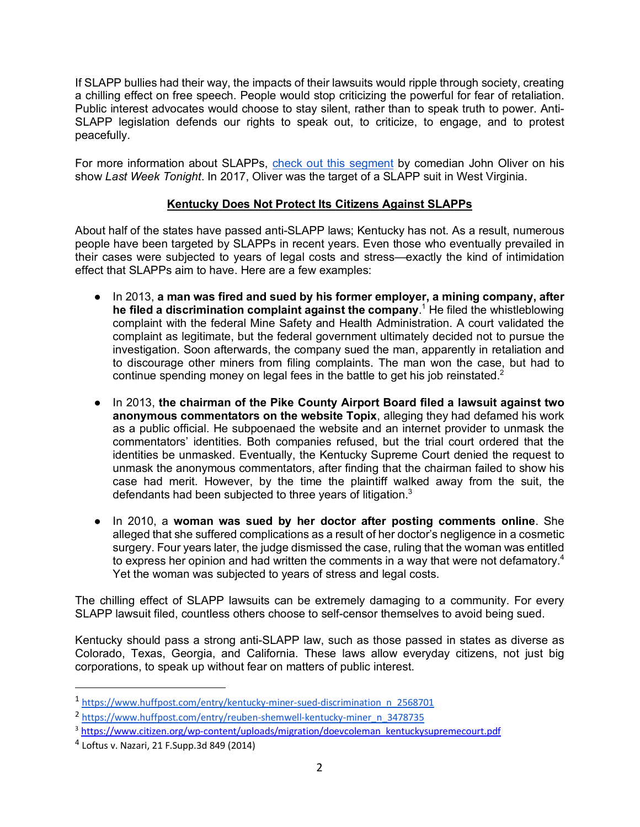If SLAPP bullies had their way, the impacts of their lawsuits would ripple through society, creating a chilling effect on free speech. People would stop criticizing the powerful for fear of retaliation. Public interest advocates would choose to stay silent, rather than to speak truth to power. Anti-SLAPP legislation defends our rights to speak out, to criticize, to engage, and to protest peacefully.

For more information about SLAPPs, check out this segment by comedian John Oliver on his show *Last Week Tonight*. In 2017, Oliver was the target of a SLAPP suit in West Virginia.

#### **Kentucky Does Not Protect Its Citizens Against SLAPPs**

About half of the states have passed anti-SLAPP laws; Kentucky has not. As a result, numerous people have been targeted by SLAPPs in recent years. Even those who eventually prevailed in their cases were subjected to years of legal costs and stress—exactly the kind of intimidation effect that SLAPPs aim to have. Here are a few examples:

- In 2013, **a man was fired and sued by his former employer, a mining company, after he filed a discrimination complaint against the company**. <sup>1</sup> He filed the whistleblowing complaint with the federal Mine Safety and Health Administration. A court validated the complaint as legitimate, but the federal government ultimately decided not to pursue the investigation. Soon afterwards, the company sued the man, apparently in retaliation and to discourage other miners from filing complaints. The man won the case, but had to continue spending money on legal fees in the battle to get his job reinstated.<sup>2</sup>
- In 2013, **the chairman of the Pike County Airport Board filed a lawsuit against two anonymous commentators on the website Topix**, alleging they had defamed his work as a public official. He subpoenaed the website and an internet provider to unmask the commentators' identities. Both companies refused, but the trial court ordered that the identities be unmasked. Eventually, the Kentucky Supreme Court denied the request to unmask the anonymous commentators, after finding that the chairman failed to show his case had merit. However, by the time the plaintiff walked away from the suit, the defendants had been subjected to three years of litigation.<sup>3</sup>
- In 2010, a **woman was sued by her doctor after posting comments online**. She alleged that she suffered complications as a result of her doctor's negligence in a cosmetic surgery. Four years later, the judge dismissed the case, ruling that the woman was entitled to express her opinion and had written the comments in a way that were not defamatory.<sup>4</sup> Yet the woman was subjected to years of stress and legal costs.

The chilling effect of SLAPP lawsuits can be extremely damaging to a community. For every SLAPP lawsuit filed, countless others choose to self-censor themselves to avoid being sued.

Kentucky should pass a strong anti-SLAPP law, such as those passed in states as diverse as Colorado, Texas, Georgia, and California. These laws allow everyday citizens, not just big corporations, to speak up without fear on matters of public interest.

 <sup>1</sup> https://www.huffpost.com/entry/kentucky-miner-sued-discrimination\_n\_2568701

<sup>2</sup> https://www.huffpost.com/entry/reuben-shemwell-kentucky-miner\_n\_3478735

<sup>&</sup>lt;sup>3</sup> https://www.citizen.org/wp-content/uploads/migration/doevcoleman\_kentuckysupremecourt.pdf

<sup>4</sup> Loftus v. Nazari, 21 F.Supp.3d 849 (2014)